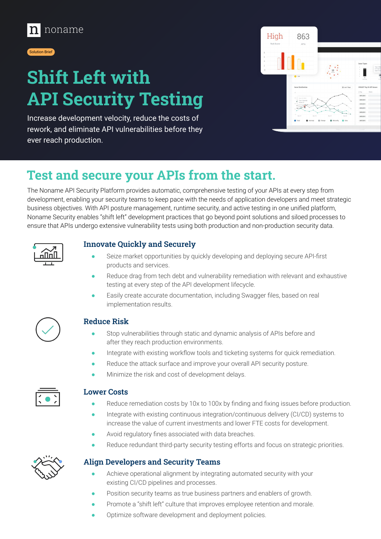



# **Shift Left with API Security Testing**

Increase development velocity, reduce the costs of rework, and eliminate API vulnerabilities before they ever reach production.



## **Test and secure your APIs from the start.**

The Noname API Security Platform provides automatic, comprehensive testing of your APIs at every step from development, enabling your security teams to keep pace with the needs of application developers and meet strategic business objectives. With API posture management, runtime security, and active testing in one unified platform, Noname Security enables "shift left" development practices that go beyond point solutions and siloed processes to ensure that APIs undergo extensive vulnerability tests using both production and non-production security data.



### **Innovate Quickly and Securely**

- Seize market opportunities by quickly developing and deploying secure API-first products and services.
- Reduce drag from tech debt and vulnerability remediation with relevant and exhaustive testing at every step of the API development lifecycle.
- Easily create accurate documentation, including Swagger files, based on real implementation results.



### **Reduce Risk**

- Stop vulnerabilities through static and dynamic analysis of APIs before and after they reach production environments.
- Integrate with existing workflow tools and ticketing systems for quick remediation.
- Reduce the attack surface and improve your overall API security posture.
- Minimize the risk and cost of development delays.



#### **Lower Costs**

- Reduce remediation costs by 10x to 100x by finding and fixing issues before production.
- Integrate with existing continuous integration/continuous delivery (CI/CD) systems to increase the value of current investments and lower FTE costs for development.
- Avoid regulatory fines associated with data breaches.
- Reduce redundant third-party security testing efforts and focus on strategic priorities.

### **Align Developers and Security Teams**

- Achieve operational alignment by integrating automated security with your existing CI/CD pipelines and processes.
- Position security teams as true business partners and enablers of growth.
- Promote a "shift left" culture that improves employee retention and morale.
- Optimize software development and deployment policies.